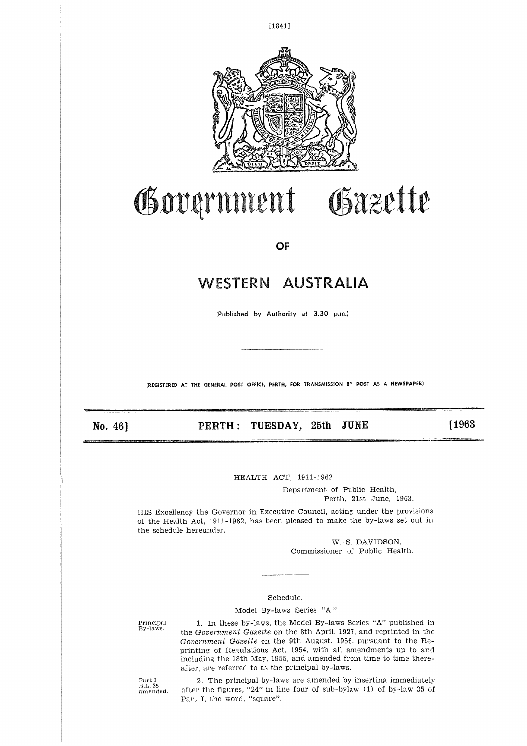

[1841]

# Government Gazette

**OF**

# WESTERN AUSTRALIA

(Published by Authority at 3.30 p.m.)

**(REGISTERED AT THE GENERAL POST OFFICE, PERTH, FOR TRANSMISSION BY POST AS A NEWSPAPER)** 

No. 46] 

PERTH: TUESDAY, 25th JUNE

[1963

HEALTH ACT, 1911-1962.

Department of Public Health, Perth, 21st June, 1963.

HIS Excellency the Governor in Executive Council, acting under the provisions of the Health Act, 1911-1962, has been pleased to make the by-laws set out in the schedule hereunder.

> W. S. DAVIDSON, Commissioner of Public Health.

#### Schedule.

Model By-laws Series "A."

Principal By-laws.

1. In these by-laws, the Model By-laws Series "A" published in the *Government Gazette* on the 8th April, 1927, and reprinted in the *Government Gazette* on the 9th August, 1956, pursuant to the Reprinting of Regulations Act, 1954, with all amendments up to and including the 18th May, 1955, and amended from time to time thereafter, are referred to as the principal by-laws.

Part B.L. 35 amended.

2. The principal by-laws are amended by inserting immediately after the figures, "24" in line four of sub-bylaw (1) of by-law 35 of Part I, the word, "square".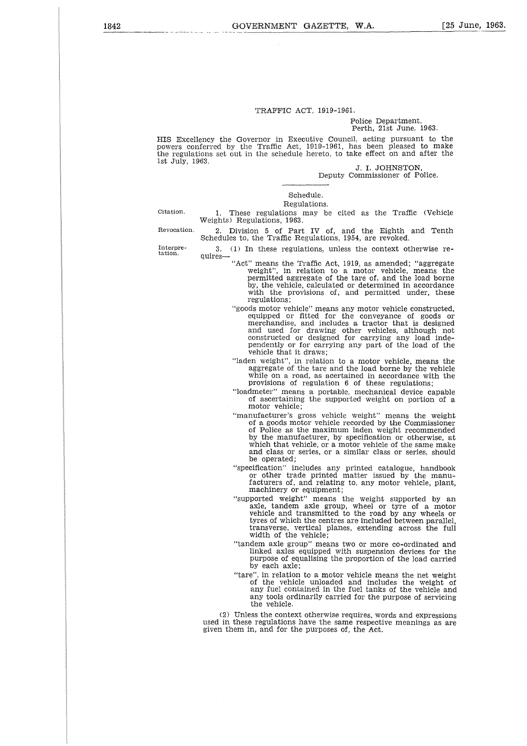#### TRAFFIC ACT, 1919-1961.

#### Police Department, Perth, 21st June, 1963.

HIS Excellency the Governor in Executive Council, acting pursuant to the powers conferred by the Traffic Act, 1919-1961, has been pleased to mak the regulations set out in the schedule hereto, to take effect on and after the  $\mathbf{h}$ 1st July, 1963.

*J.* I. JOHNSTON, Deputy Commissioner of Police.

Schedule. Regulations.

Citation.

1. These regulations may be cited as the Traffic (Vehicle Weights) Regulations, 1963.

Revocation.

2. Division 5 of Part IV of, and the Eighth and Tenth Schedules to, the Traffic Regulations, 1954, are revoked. 3. (1) In these regulations, unless the context otherwise requires

Interpretation.

"Act" means the Traffic Act, 1919, as amended; "aggregate weight", in relation to a motor vehicle, means the permitted aggregate of the tare of, and the load borne by, the vehicle, calculated or determined in accordance with the provisions of, and permitted under, these regulations;

- "goods motor vehicle" means any motor vehicle constructed, equipped or fitted for the conveyance of goods or merchandise, and includes a tractor that is designed and used for drawing other vehicles, although not constructed or designed for carrying any load independently or for carrying any part of the load of the vehicle that it draws;
- "laden weight", in relation to a motor vehicle, means the aggregate of the tare and the load borne by the vehicle while on a road, as acertained in accordance with the provisions of regulation 6 of these regulations;
- "loadmeter" means a portable, mechanical device capable of ascertaining the supported weight on portion of a motor vehicle;
- "manufacturer's gross vehicle weight" means the weight of a goods motor vehicle recorded by the Commissioner of Police as the maximum laden weight recommended by the manufacturer, by specification or otherwise, at which that vehicle, or a motor vehicle of the same make and class or series, or a similar class or series, should be operated;
- "specification" includes any printed catalogue, handbook or other trade printed matter issued by the manufacturers of, and relating to, any motor vehicle, plant machinery or equipment;
- "supported weight" means the weight supported by an axle, tandem axle group, wheel or tyre of a motor vehicle and transmitted to the road by any wheels or tyres of which the centres are included between parallel, transverse, vertical planes, extending across the full width of the vehicle;
- "tandem axle group" means two or more co-ordinated and linked axles equipped with suspension devices for the purpose of equalising the proportion of the load carried by each axle;
- "tare", in relation to a motor vehicle means the net weight of the vehicle unloaded and includes the weight of any fuel contained in the fuel tanks of the vehicle and any tools ordinarily carried for the purpose of servicing the vehicle.

(2) Unless the context otherwise requires, words and expressions used in these regulations have the same respective meanings as are given them in, and for the purposes of, the Act.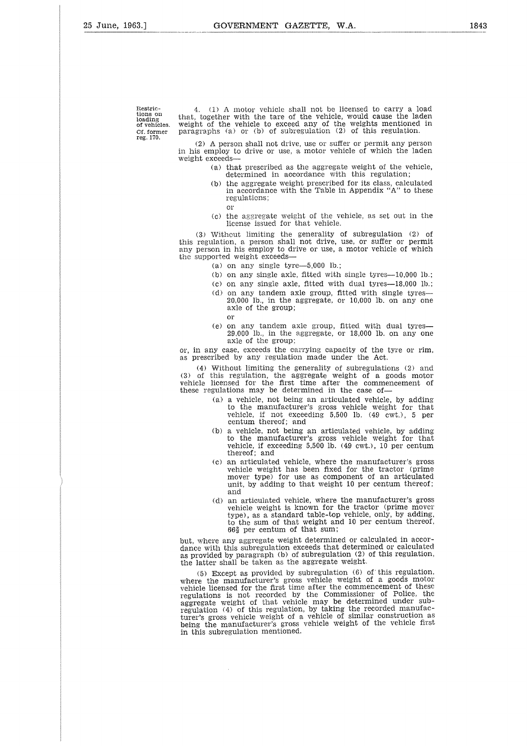tions on Restric-<br>idons on<br>loading<br>Cf. form<br>reg. 170. Cf. former<br>reg. 170.

Restric-<br>
Restric-<br>
(4. (1) A motor vehicle shall not be licensed to carry a load<br>
ioading<br>
of vehicles. weight of the vehicle shall not be licensed to carry a load<br>
of vehicles. weight of the vehicle to exceed any of the tions on that, together with the tare of the vehicle, would cause the laden<br>loading the veight of the vehicle to exceed any of the weights mentioned in Execution of the U.C. of the U.C. or (d) A motor vehicle shall not be licensed to carry a linear that, together with the tare of the vehicle, would cause the laid of vehicles. weight of the vehicle to exceed any of the wei

(2) A person shall not drive, use or suffer or permit any person in his employ to drive or use, a motor vehicle of which the laden weight exceeds

- (a) that prescribed as the aggregate weight of the vehicle, determined in accordance with this regulation;
- (b) the aggregate weight prescribed for its class, calculated in accordance with the Table in Appendix "A" to these regulations; 01'
- (c) the aggregate weight of the vehicle, as set out in the license issued for that vehicle.

(3) Without limiting the generality of subregulation (2) of this regulation, a person shall not drive, use, or suffer or permit any person in his employ to drive or use, a motor vehicle of which the supported weight exceeds

- (a) on any single tyre $-5,000$  lb.;
- (b) on any single axle, fitted with single tyres- $-10,000$  lb.;
- (c) on any single axle, fitted with dual tyres-18,000 lb.;
- (d) on any tandem axle group, fitted with single tyres-20,000 lb., in the aggregate, or 10,000 lb. on any one axle of the group; or
- (e) on any tandem axle group, fitted with dual tyres-29,000 lb., in the aggregate, or 18,000 lb. on any one axle of the group;

or, in any case, exceeds the carrying capacity of the tyre or rim, as prescribed by any regulation made under the Act.

(4) Without limiting the generality of subregulations (2) and (3) of this regulation, the aggregate weight of a goods motor vehicle licensed for the first time after the commencement of these regulations may be determined in the case of

- (a) a vehicle, not being an articulated vehicle, by adding to the manufacturer's gross vehicle weight for that vehicle, if not exceeding 5,500 lb. (49 cwt.), 5 per centum thereof; and
- (b) a vehicle, not being an articulated vehicle, by adding to the manufacturer's gross vehicle weight for that vehicle, if exceeding 5,500 lb. (49 cwt.), 10 per centum thereof; and
- (c) an articulated vehicle, where the manufacturer's gross vehicle weight has been fixed for the tractor (prime mover type) for use as component of an articulated unit, by adding to that weight 10 per centum thereof; and
- (d) an articulated vehicle, where the manufacturer's gross vehicle weight is known for the tractor (prime mover type), as a standard table-top vehicle, only, by adding, to the sum of that weight and 10 per centum thereof, 66<sup>3</sup> per centum of that sum;

but, where any aggregate weight determined or calculated in accordance with this subregulation exceeds that determined or calculated as provided by paragraph (b) of subregulation (2) of this regulation, the latter shall be taken as the aggregate weight.

(5) Except as provided by subregulation (6) of this regulation, where the manufacturer's gross vehicle weight of a goods motor vehicle licensed for the first time after the commencement of these regulations is not recorded by the Commissioner of Police, the aggregate weight of that vehicle may be determined under subregulation (4) of this regulation, by taking the recorded manufacturer's gross vehicle weight of a vehicle of similar construction as being the manufacturer's gross vehicle weight of the vehicle first in this subregulation mentioned.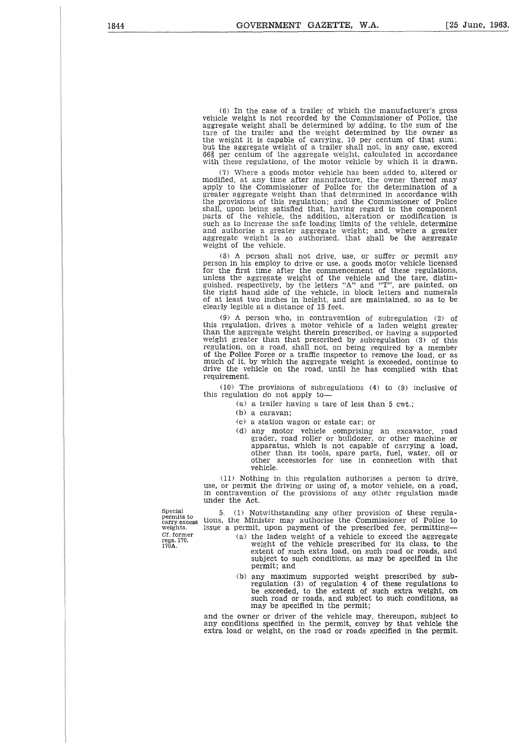(6) In the case of a trailer of which the manufacturer's gross vehicle weight is not recorded by the Commissioner of Police, the aggregate weight shall be determined by adding, to the sum of the tare of the trailer and the weight determined by the owner as the weight it is capable of carrying, 10 per centum of that sum; but the aggregate weight of a trailer shall not, in any case, exceed<br>663 per centum of the aggregate weight, calculated in accordanc with these regulations, of the motor vehicle by which it is drawn.

(7) Where a goods motor vehicle has been added to, altered or modified, at any time after manufacture, the owner thereof may apply to the Commissioner of Police for the determination of a greater aggregate weight than that determined in accordance with the provisions of this regulation; and the Commissioner of Police shall, upon being satisfied that, having regard to the component parts of the vehicle, the addition, alteration or modification is such as to increase the safe loading limits of the vehicle, determine and authorise a greater aggregate weight; and, where a greater aggregate weight is so authorised, that shall be the aggregate weight of the vehicle.

(8) A person shall not drive, use, or suffer or permit any person in his employ to drive or use, a goods motor vehicle licensed for the first time after the commencement of these regulations, unless the aggregate weight of the vehicle and the tare, distinguished, respectively, by the letters "A" and "T", are painted, on the right hand side of the vehicle, in block letters and numerals of at least two inches in height, and are maintained, so as to be clearly legible at a distance of 15 feet.

(9) A person who, in contravention of subregulation (2) of this regulation, drives a motor vehicle of a laden weight greater than the aggregate weight therein prescribed, or having a supported weight greater than that prescribed by subregulation (3) of this regulation, on a road, shall not, on being required by a member of the Police Force or a traffic inspector to remove the load, or as much of it, by which the aggregate weight is exceeded, continue to drive the vehicle on the road, until he has complied with that requirement.

(10) The provisions of subregulations (4) to (9) inclusive of this regulation do not apply to

(a) a trailer having a tare of less than 5 cwt.;

(b) a caravan;

(c) a station wagon or estate car; or

(d) any motor vehicle comprising an excavator, road grader, road roller or bulldozer, or other machine or apparatus, which is not capable of carrying a load, other than its tools, spare parts, fuel, water, oil or other accessories for use in connection with that vehicle.

(11) Nothing in this regulation authorises a person to drive, use, or permit the driving or using of, a motor vehicle, on a road, in contravention of the provisions of any other regulation made under the Act.

Special permits to carry excess weights. Cf. former regs. 170, 170A.

5. (1) Notwithstanding any other provision of these regulations, the Minister may authorise the Commissioner of Police to issue a permit, upon payment of the prescribed fee, permitting-

- (a) the laden weight of a vehicle to exceed the aggregate weight of the vehicle prescribed for its class, to the extent of such extra load, on such road or roads, and subject to such conditions, as may be specified in the permit; and
- (b) any maximum supported weight prescribed by subregulation (3) of regulation 4 of these regulations to be exceeded, to the extent of such extra weight, or such road or roads, and subject to such conditions, as may be specified in the permit;

and the owner or driver of the vehicle may, thereupon, subject to any conditions specified in the permit, convey by that vehicle the extra load or weight, on the road or roads specified in the permit.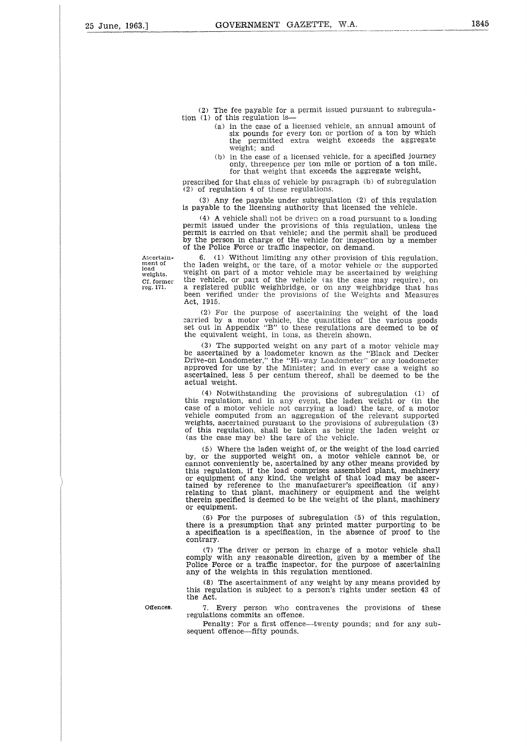(2) The fee payable for a permit issued pursuant to subregulation (1) of this regulation is

- (a) in the case of a licensed vehicle, an annual amount of six pounds for every ton or portion of a ton by which the permitted extra weight exceeds the aggregate weight; and
- (b) in the case of a licensed vehicle, for a specified journey only, threepence per ton mile or portion of a ton mile, for that weight that exceeds the aggregate weight,

prescribed for that class of vehicle by paragraph (b) of subregulation  $(2)$  of regulation 4 of these regulations.

(3) Any fee payable under subregulation (2) of this regulation is payable to the licensing authority that licensed the vehicle.

(4) A vehicle shall not be driven on a road pursuant to a loading permit issued under the provisions of this regulation, unless the permit is carried on that vehicle; and the permit shall be produced by the person in charge of the vehicle for inspection by a member of the Police Force or traffic inspector, on demand.

Ascertainment of load weights. Cf. former reg. 171.

6. (1) Without limiting any other provision of this regulation, the laden weight, or the tare, of a motor vehicle or the supported weight on part of a motor vehicle may be ascertained by weighing the vehicle, or part of the vehicle (as the case may require), on a registered public weighbridge, or on any weighbridge that has been verified under the provisions of the Weights and Measures Act, 1915.

(2) For the purpose of ascertaining the weight of the load carried by a motor vehicle, the quantities of the various goods set out in Appendix "B" to these regulations are deemed to be of the equivalent weight, in tons, as therein shown.

(3) The supported weight on any part of a motor vehicle may be ascertained by a loadometer known as the "Black and Decke" Drive-on Loadometer," the "Hi-way Loadometer" or any loadometer approved for use by the Minister; and in every case a weight so ascertained, less 5 per centum thereof, shall be deemed to be the actual weight.

(4) Notwithstanding the provisions of subregulation (1) of this regulation, and in any event, the laden weight or (in the case of a motor vehicle not carrying a load) the tare, of a motor vehicle computed from an aggregation of the relevant supported weights, ascertained pursuant to the provisions of subregulation (3) of this regulation, shall be taken as being the laden weight or (as the case may be) the tare of the vehicle.

(5) Where the laden weight of, or the weight of the load carried by, or the supported weight on, a motor vehicle cannot be, or<br>cannot conveniently be, ascertained by any other means provided by<br>this regulation, if the load comprises assembled plant, machinery or equipment of any kind, the weight of that load may be ascertained by reference to the manufacturer's specification (if any) relating to that plant, machinery or equipment and the weight therein specified is deemed to be the weight of the plant, machinery or equipment.

(6) For the purposes of subregulation (5) of this regulation, there is a presumption that any printed matter purporting to be a specification is a specification, in the absence of proof to the contrary.

(7) The driver or person in charge of a motor vehicle shall comply with any reasonable direction, given by a member of the Police Force or a traffic inspector, for the purpose of ascertaining any of the weights in this regulation mentioned.

(8) The ascertainment of any weight by any means provided by this regulation is subject to a person's rights under section 43 of the Act.

Offences. 

7. Every person who contravenes the provisions of these regulations commits an offence.

Penalty: For a first offence—twenty pounds; and for any subsequent offence—fifty pounds.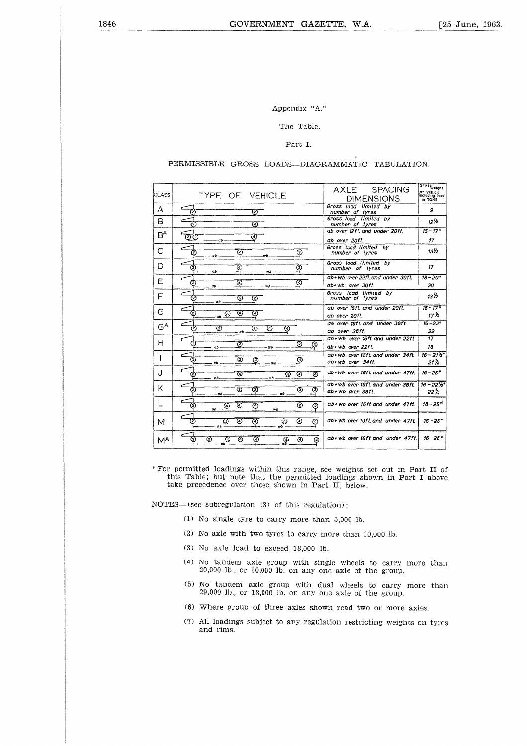#### Appendix "A."

#### The Table.

#### Part I.

#### PERMISSIBLE GROSS LOADS—DIAGRAMMATIC TABULATION.

| Appendix "A."    |                                                                                    |                                                              |                                                            |  |  |  |  |  |  |  |
|------------------|------------------------------------------------------------------------------------|--------------------------------------------------------------|------------------------------------------------------------|--|--|--|--|--|--|--|
| The Table.       |                                                                                    |                                                              |                                                            |  |  |  |  |  |  |  |
|                  |                                                                                    |                                                              |                                                            |  |  |  |  |  |  |  |
|                  | Part I.                                                                            |                                                              |                                                            |  |  |  |  |  |  |  |
|                  | PERMISSIBLE GROSS LOADS-DIAGRAMMATIC TABULATION.                                   |                                                              |                                                            |  |  |  |  |  |  |  |
| CLASS            | TYPE OF VEHICLE                                                                    | AXLE SPACING<br><b>DIMENSIONS</b>                            | Gross<br>Weight<br>of vehicle<br>including load<br>in TONS |  |  |  |  |  |  |  |
| А                | 75<br>Ø                                                                            | Gross load limited by<br>number of tyres                     | g                                                          |  |  |  |  |  |  |  |
| B                | ⊙<br>Ø,                                                                            | Gross load limited by<br>number of tyres                     | 12 /2                                                      |  |  |  |  |  |  |  |
| $B^A$            | ত<br>වල<br>ab                                                                      | ab over 12ft, and under 20ft.<br>ab over 20ft.               | $15 - 17*$<br>17                                           |  |  |  |  |  |  |  |
| C                | ℗<br>⊚<br>Ø<br>øb<br>wb.                                                           | Gross load limited by<br>number of tyres                     | 13%                                                        |  |  |  |  |  |  |  |
| D                | 75<br>ত<br>(2)                                                                     | Gross load limited by<br>number of tyres                     | 17.                                                        |  |  |  |  |  |  |  |
| Ε                | að.<br>wò<br>ত<br>⊛<br>☺                                                           | ab+wb over 22ft and under 30ft.<br>ab+wb over 30ft.          | $18 - 20*$                                                 |  |  |  |  |  |  |  |
| F                | σb.<br>wb<br>Ø<br>℗<br>(2)                                                         | Gross load limited by<br>number of tyres                     | 20<br>$13\%$                                               |  |  |  |  |  |  |  |
| G                | ab<br>Ø<br>⊙<br>C                                                                  | ab over 18ft, and under 20ft.                                | $16 - 17*$                                                 |  |  |  |  |  |  |  |
| $G^{\mathsf{A}}$ | $\omega$ $\overline{\mathscr{D}}$                                                  | ab over 20ft.<br>ab over taft and under 35ft.                | 17 K<br>$16 - 22*$                                         |  |  |  |  |  |  |  |
|                  | ত্য<br>Ø<br>$\overline{\mathcal{L}}$<br>⊛<br>◉<br>ab                               | ab over 36ft.<br>ab+wb over 16ft and under 22ft.             | 22<br>17                                                   |  |  |  |  |  |  |  |
| H                | ত্ত<br>Ξ<br>◎<br>⊗<br>ø۵<br>wb                                                     | ab+wb over 22ft.                                             | 18                                                         |  |  |  |  |  |  |  |
| I                | 72)<br>⊚<br>Ø<br>℗<br>٥b.<br>w۵                                                    | ab+wb over fort and under 34ft.<br>ab+wb over 34ft.          | $16 - 21'2''$<br>21 h                                      |  |  |  |  |  |  |  |
| J                | W<br>Ϋ́.<br>⊕<br>⊛<br>Ø<br>жb.<br>ob.                                              | ab+wb over 16ft and under 47ft.                              | $16 - 25$ <sup>*</sup>                                     |  |  |  |  |  |  |  |
| κ                | $\overline{\textcircled{\scriptsize{2}}}$<br>Ø<br>$\overline{c}$<br>⊚<br>Ø         | ab+wb over 16ft and under 38ft.<br>$ab$ + $wb$ over $38ft$ . | $16 - 22'5''$<br>22 ½                                      |  |  |  |  |  |  |  |
| L                | ab<br>wô<br>⊚<br>⊙<br>ত<br>⊚<br>⊚<br>(2)                                           | ab+wb over 15ft and under 47ft.                              | $16 - 25$ <sup>*</sup>                                     |  |  |  |  |  |  |  |
| м                | n۵<br>(2)<br>⊙<br>⊛<br>⊚<br>⊙<br>ŵ<br>$\mathcal{A}_\mathcal{F}$<br>$\alpha$<br>wp. | ab+ wb over 16ft and under 47ft.                             | $16 - 25^+$                                                |  |  |  |  |  |  |  |
| M <sup>A</sup>   | <b>②</b><br>Ø)<br>ø<br>⊛<br>⊛<br>涂<br>⊕<br>⊛<br>ch.                                | ab+wb over 16ft.and under 47ft.                              | $16 - 25$ *                                                |  |  |  |  |  |  |  |

For permitted loadings within this range, see weights set out in Part II of this Table; but note that the permitted loadings shown in Part I above take precedence over those shown in Part II, below.

NOTES—(see subregulation (3) of this regulation):

- (1) No single tyre to carry more than 5,000 lb.
- (2) No axle with two tyres to carry more than 10,000 lb.
- (3) No axle load to exceed 18,000 lb.
- (4) No tandem axle group with single wheels to carry more than 20,000 lb., or 10,000 lb. on any one axle of the group.
- (5) No tandem axle group with dual wheels to carry more than 29,000 lb., or 18,000 lb. on any one axle of the group.
- (6) Where group of three axles shown read two or more axles.
- (7) All loadings subject to any regulation restricting weights on tyres and rims.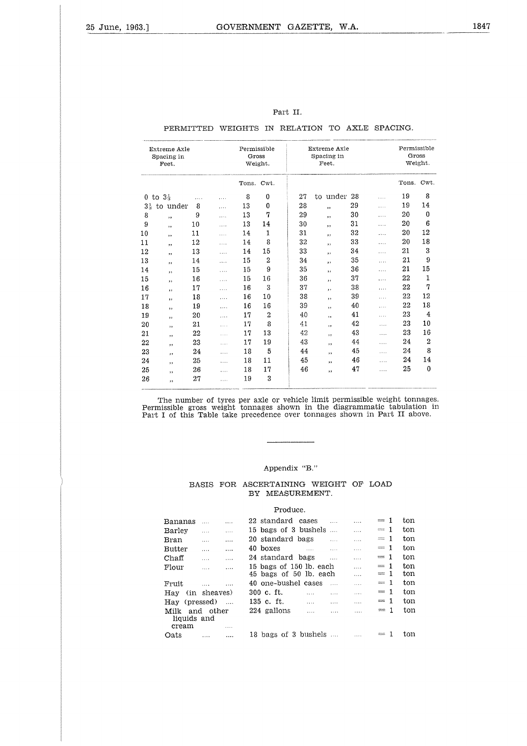|                |                                     |                                                |          |                      |                | Part II. |                                     |    |          |                      |                |
|----------------|-------------------------------------|------------------------------------------------|----------|----------------------|----------------|----------|-------------------------------------|----|----------|----------------------|----------------|
|                |                                     | PERMITTED WEIGHTS IN RELATION TO AXLE SPACING. |          |                      |                |          |                                     |    |          |                      |                |
|                | Extreme Axle<br>Spacing in<br>Feet. |                                                |          | Permissible<br>Gross | Weight.        |          | Extreme Axle<br>Spacing in<br>Feet. |    |          | Permissible<br>Gross | Weight.        |
|                |                                     |                                                |          | Tons. Cwt.           |                |          |                                     |    |          | Tons. Cwt.           |                |
|                | 0 to $3\frac{1}{3}$                 |                                                | .        | 8                    | $\mathbf 0$    | 27       | to under 28                         |    | .        | 19                   | 8              |
| $3\frac{1}{3}$ | to under                            | 8                                              | .        | 13                   | $\bf{0}$       | 28       | , 1                                 | 29 | $\cdots$ | 19                   | 14             |
| 8              | ,,                                  | 9                                              | .        | 13                   | 7              | 29       | ,,                                  | 30 | .        | 20                   | $\mathbf 0$    |
| 9              | ,,                                  | 10                                             | $\cdots$ | 13                   | 14             | 30       | ,,                                  | 31 | .        | 20                   | 6              |
| 10             | ,,                                  | 11                                             | .        | 14                   | 1              | 31       | ,,                                  | 32 | .        | 20                   | 12             |
| 11             | ,,                                  | 12                                             | $\cdots$ | 14                   | 8              | 32       | ,,                                  | 33 | .        | 20                   | 18             |
| 12             | ,,                                  | 13                                             | .        | 14                   | 15             | 33       | ,,                                  | 34 | $\cdots$ | 21                   | 3              |
| 13             | ,,                                  | 14                                             | .        | 15                   | $\overline{2}$ | 34       | , ,                                 | 35 | .        | 21                   | 9              |
| 14             | $\overline{\phantom{a}}$            | 15                                             | .        | 15                   | 9              | 35       | ,,                                  | 36 | .        | 21                   | 15             |
| 15             | ,,                                  | 16                                             | $\cdots$ | 15                   | 16             | 36       | ,,                                  | 37 | .        | 22                   | $\mathbf{1}$   |
| 16             | , ,                                 | 17                                             | $\cdots$ | 16                   | 3              | 37       | ,,                                  | 38 | .        | 22                   | 7              |
| 17             | ,,                                  | 18                                             | .        | 16                   | 10             | 38       | ,,                                  | 39 | $\cdots$ | 22                   | 12             |
| 18             | ,,                                  | 19                                             | .        | 16                   | 16             | 39       | ,,                                  | 40 | .        | 22                   | 18             |
| 19             | ,,                                  | 20                                             | .        | 17                   | $\overline{2}$ | 40       | , ,                                 | 41 | .        | 23                   | $\overline{4}$ |
| 20             | ,                                   | 21                                             | .        | 17                   | 8              | 41       | ,,                                  | 42 | $\cdots$ | 23                   | 10             |
| 21             | ,,                                  | 22                                             | .        | 17                   | 13             | 42       | $, \,$                              | 43 | .        | 23                   | 16             |
| 22             | ,,                                  | 23                                             | $\cdots$ | 17                   | 19             | 43       | , ,                                 | 44 | $\cdots$ | 24                   | $\overline{2}$ |
| 23             | ,,                                  | 24                                             | $\cdots$ | 18                   | 5              | 44       | ,,                                  | 45 | .        | 24                   | 8              |
| 24             | ,,                                  | 25                                             | .        | 18                   | 11             | 45       | ,,                                  | 46 | .        | 24                   | 14             |
| 25             | ,,                                  | 26                                             | .        | 18                   | 17             | 46       | ,,                                  | 47 | $\cdots$ | 25                   | $\bf{0}$       |
| 26             | ,,                                  | 27                                             | .        | 19                   | 3              |          |                                     |    |          |                      |                |

#### Part II.

## PERMITTED WEIGHTS IN RELATION TO AXLE SPACING.

The number of tyres per axle or vehicle limit permissible weight tonnages. Permissible gross weight tonnages shown in the diagrammatic tabulation in Part I of this Table take precedence over tonnages shown in Part II above.

#### Appendix "B."

#### BASIS FOR ASCERTAINING WEIGHT OF LOAD BY MEASUREMENT.

#### Produce.

| Bananas                      |              | .        |          | 22 standard cases   |                         |          |          | $=1$                                                                                             | ton |
|------------------------------|--------------|----------|----------|---------------------|-------------------------|----------|----------|--------------------------------------------------------------------------------------------------|-----|
| Barley                       | $\cdots$     | $\cdots$ |          |                     | 15 bags of 3 bushels    |          | $\cdots$ | $= 1$                                                                                            | ton |
| Bran                         | .            |          |          | 20 standard bags    |                         | $\cdots$ | $\cdots$ | 1<br>$\begin{array}{l} \mathbf{0.5} \\ \mathbf{0.6} \\ \mathbf{0.7} \\ \mathbf{0.8} \end{array}$ | ton |
| <b>Butter</b>                | $\cdots$     | $\cdots$ | 40 boxes |                     | $\sim$                  | $\cdots$ | .        | $= 1$                                                                                            | ton |
| $Chaff$                      | $\cdots$     | $\cdots$ |          | 24 standard bags    |                         |          | $\cdots$ | $= 1$                                                                                            | ton |
| Flour                        | .            | $\cdots$ |          |                     | 15 bags of 150 lb. each |          | $\cdots$ | $= 1$                                                                                            | ton |
|                              |              |          |          |                     | 45 bags of 50 lb. each  |          | $\cdots$ | $= 1$                                                                                            | ton |
| Fruit                        | $\cdots$     | $\cdots$ |          | 40 one-bushel cases |                         |          | $\cdots$ | $= 1$                                                                                            | ton |
| Hay                          | (in sheaves) |          |          | 300 c. ft.          | $\cdots$                | .        | 1.111    | $= 1$                                                                                            | ton |
| Hay (pressed)                |              |          |          | 135 c. ft.          |                         | 1.1.1    |          | $=1$                                                                                             | ton |
| Milk<br>liquids and<br>cream | and other    | .        |          | 224 gallons         | 1.1.1                   | $\cdots$ | .        | -1<br>$\equiv$                                                                                   | ton |
| Oats                         |              |          |          |                     | 18 bags of 3 bushels    |          |          |                                                                                                  | ton |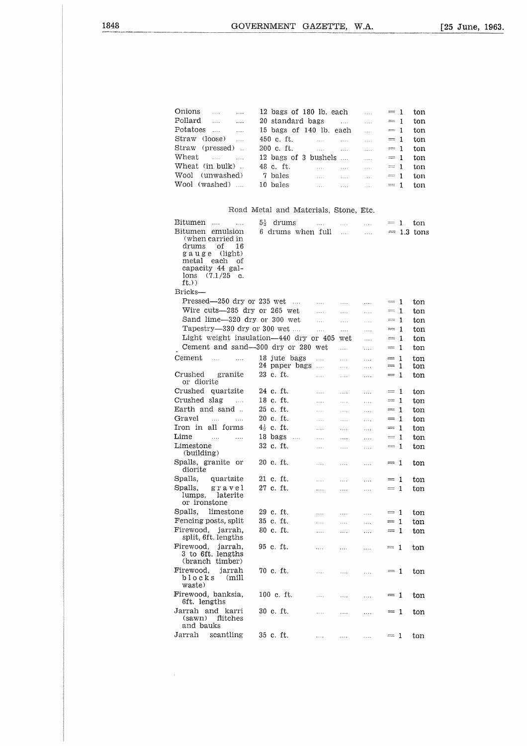|                                                  | GOVERNMENT GAZETTE, W.A.              |                                                                                                                                                                                                                      |              |                        |            |              |
|--------------------------------------------------|---------------------------------------|----------------------------------------------------------------------------------------------------------------------------------------------------------------------------------------------------------------------|--------------|------------------------|------------|--------------|
|                                                  |                                       |                                                                                                                                                                                                                      |              |                        |            |              |
|                                                  |                                       |                                                                                                                                                                                                                      |              |                        |            |              |
|                                                  |                                       |                                                                                                                                                                                                                      |              |                        |            |              |
|                                                  |                                       |                                                                                                                                                                                                                      |              |                        |            |              |
| Onions                                           | 12 bags of 180 lb. each               |                                                                                                                                                                                                                      |              | $\cdots$               | $= 1$      | ton          |
| Pollard<br>$\cdots$ $\cdots$                     | 20 standard bags                      |                                                                                                                                                                                                                      |              | $\mathbf{r}$           | $= 1$      | ton          |
| Potatoes<br>$\cdots$                             | 15 bags of 140 lb. each               |                                                                                                                                                                                                                      |              | $\cdots$               | $= 1$      | ton          |
| Straw (loose)                                    | 450 c. ft.                            | <b>Salar</b> College                                                                                                                                                                                                 | $\ldots$     | $\mathbf{r}$           | $= 1$      | ton          |
| Straw<br>(pressed)                               | 200 c. ft.                            | $\frac{1}{2}$ . The set of $\frac{1}{2}$ is the set of $\frac{1}{2}$                                                                                                                                                 |              | $\cdots$               | $= 1$      | ton          |
| Wheat<br>$\mathcal{L} = \mathcal{L} \mathcal{L}$ | 12 bags of 3 bushels                  |                                                                                                                                                                                                                      |              | $\cdots$               | $= 1$      | ton          |
| Wheat (in bulk).                                 | 48 c. ft.                             | $\label{eq:1} \mathcal{L}_{\mathbf{a}}(\mathbf{x},\mathbf{y}) = \mathcal{L}_{\mathbf{a}}(\mathbf{x},\mathbf{y}) = \mathcal{L}_{\mathbf{a}}(\mathbf{x},\mathbf{y}) = \mathcal{L}_{\mathbf{a}}(\mathbf{x},\mathbf{y})$ |              |                        | $= 1$      | ton          |
| Wool (unwashed)                                  | 7 bales                               | and the same of                                                                                                                                                                                                      |              | $\ddotsc$              | $=1$       | ton          |
| Wool (washed)                                    | 10 bales                              | and the com-                                                                                                                                                                                                         | <b>Sales</b> | $\mathbf{r}$           | $\equiv$ 1 | ton          |
|                                                  |                                       |                                                                                                                                                                                                                      |              |                        |            |              |
|                                                  | Road Metal and Materials, Stone, Etc. |                                                                                                                                                                                                                      |              |                        |            |              |
| Bitumen<br>$\sim$<br>$\cdots$                    | $5\frac{1}{2}$ drums                  | and the company                                                                                                                                                                                                      |              | says and says the same | $=1$       | ton          |
| Bitumen emulsion<br>(when carried in             | 6 drums when full                     |                                                                                                                                                                                                                      |              | and the same           |            | $= 1.3$ tons |
| drums<br>οf<br>16                                |                                       |                                                                                                                                                                                                                      |              |                        |            |              |
| gauge (light)<br>metal each of                   |                                       |                                                                                                                                                                                                                      |              |                        |            |              |

### Road Metal and Materials, Stone, Etc.

| Wool<br>(unwashed)                            | 7 bales                               | $\ldots$ . | $\dots$ .                       | $\sim$ $\sim$ $\sim$ | $= 1$         |    | ton          |
|-----------------------------------------------|---------------------------------------|------------|---------------------------------|----------------------|---------------|----|--------------|
| Wool (washed)<br>$\sim 1.1\, \mathrm{m}$      | 10 bales                              | .          | $\ldots$                        | $\ldots$             | $= 1$         |    | ton          |
|                                               |                                       |            |                                 |                      |               |    |              |
|                                               |                                       |            |                                 |                      |               |    |              |
|                                               | Road Metal and Materials, Stone, Etc. |            |                                 |                      |               |    |              |
| Bitumen<br>$\sim 100$ and $\sim 100$          | $5\frac{1}{2}$ drums                  | .          | $\mathbf{z}$ and $\mathbf{z}$ . | .                    | $=1$          |    | ton          |
| Bitumen emulsion                              | 6 drums when full                     |            | <b>County</b>                   | $\cdots$             |               |    | $= 1.3$ tons |
| (when carried in                              |                                       |            |                                 |                      |               |    |              |
| drums<br>of<br>16                             |                                       |            |                                 |                      |               |    |              |
| gauge (light)                                 |                                       |            |                                 |                      |               |    |              |
| each<br>metal<br>οf<br>capacity 44 gal-       |                                       |            |                                 |                      |               |    |              |
| (7.1/25)<br>lons<br>c.                        |                                       |            |                                 |                      |               |    |              |
| ft.)                                          |                                       |            |                                 |                      |               |    |              |
| Bricks-                                       |                                       |            |                                 |                      |               |    |              |
| Pressed-250 dry or 235 wet                    |                                       | $\ldots$ . | $\ldots$ .                      | .                    | $= 1$         |    | ton          |
| Wire cuts-285 dry or 265 wet                  |                                       | .          | $\sim$ $\sim$ $\sim$            | .                    | $= 1$         |    | ton          |
| Sand lime-320 dry or 300 wet                  |                                       | .          | $\ldots$                        | $\cdots$             | $= 1$         |    | ton          |
| Tapestry-330 dry or 300 wet                   |                                       | .          | .                               | .                    | $=1$          |    | ton          |
| Light weight insulation—440 dry or 405        |                                       |            | wet                             | $\ldots$             | $= 1$         |    | ton          |
| Cement and sand-300 dry or 280 wet            |                                       |            | $\ldots$                        | .                    | $= 1$         |    | ton          |
| Cement<br>and the company of the second       | 18 jute bags                          | .          | .                               | .                    | $=$           | -1 | ton          |
|                                               | 24 paper bags                         | $\ldots$   | $\cdots$                        | .                    | $=1$          |    | ton          |
| Crushed<br>granite                            | 23 c. ft.                             | .          | $\cdots$                        | $\cdots$             | $= 1$         |    | ton          |
| or diorite                                    |                                       |            |                                 |                      |               |    |              |
| Crushed quartzite                             | 24 c. ft.                             | $\cdots$   | $\ldots$                        | .                    | $=1$          |    | ton          |
| Crushed slag<br><b>College</b>                | 18 c. ft.                             | .          | $\ldots$                        | .                    | $= 1$         |    | ton          |
| Earth and sand                                | 25 c. ft.                             | $\cdots$   | .                               | $\ldots$             | $= 1$         |    | ton          |
| Gravel<br>$\sim 1.1\, \mathrm{m}$<br>$\cdots$ | 20 c. ft.                             | .          | $\cdots$                        | .                    | $=$ 1         |    | ton          |
| Iron in all forms                             | $4\frac{1}{2}$ c. ft.                 | $\ldots$   | .                               | .                    | $= 1$         |    | ton          |
| Lime<br>$\sim$ 100 $\mu$<br>$\cdots$          | $18 \text{ bags}$                     | .          | .                               | .                    | $= 1$         |    | ton          |
| Limestone                                     | 32 c. ft.                             | $\cdots$   | .                               | .                    | $= 1$         |    | ton          |
| (building)                                    |                                       |            |                                 |                      |               |    |              |
| Spalls, granite or                            | 20 c. ft.                             | .          | .                               | .                    | $=1$          |    | ton          |
| diorite                                       |                                       |            |                                 |                      |               |    |              |
| Spalls,<br>quartzite                          | 21 c. ft.                             | .          | .                               | .                    | $= 1$         |    | ton          |
| Spalls,<br>gravel<br>lumps,<br>laterite       | 27 c. ft.                             | .          | .                               | .                    | $= 1$         |    | ton          |
| or ironstone                                  |                                       |            |                                 |                      |               |    |              |
| Spalls.<br>limestone                          | 29 c. ft.                             | .          | .                               | .                    | $=1$          |    | ton          |
| Fencing posts, split                          | 35 c. ft.                             | .          | $\ldots$ .                      | $\ldots$             | $\frac{1}{2}$ | -1 | ton          |
| Firewood, jarrah,                             | 80 c. ft.                             | .          | $\ldots$                        | .                    | $=1$          |    | ton          |
| split, 6ft. lengths                           |                                       |            |                                 |                      |               |    |              |
| Firewood,<br>jarrah,                          | 95 c. ft.                             | .          | $\cdots$                        | $\cdots$             | $=1$          |    | ton          |
| 3 to 6ft. lengths                             |                                       |            |                                 |                      |               |    |              |
| (branch timber)                               |                                       |            |                                 |                      |               |    |              |
| Firewood,<br>jarrah                           | 70 c. ft.                             | .          | .                               | $\cdots$             | $= 1$         |    | ton          |
| blocks<br>(mill<br>waste)                     |                                       |            |                                 |                      |               |    |              |
| Firewood, banksia,                            | 100 c. ft.                            | .          | .                               | .                    | $=1$          |    | ton          |
| 6ft. lengths                                  |                                       |            |                                 |                      |               |    |              |
| Jarrah and karri                              | 30 c. ft.                             | 1.1.1      | .                               | .                    | $= 1$         |    | ton          |
| (sawn)<br>flitches                            |                                       |            |                                 |                      |               |    |              |
| and bauks                                     |                                       |            |                                 |                      |               |    |              |
| Jarrah<br>scantling                           | 35 c. ft.                             | .          | $\cdots$                        | $\ldots$ .           | $= 1$         |    | ton          |
|                                               |                                       |            |                                 |                      |               |    |              |
|                                               |                                       |            |                                 |                      |               |    |              |
|                                               |                                       |            |                                 |                      |               |    |              |

 $\mathcal{A}^{\mathcal{A}}$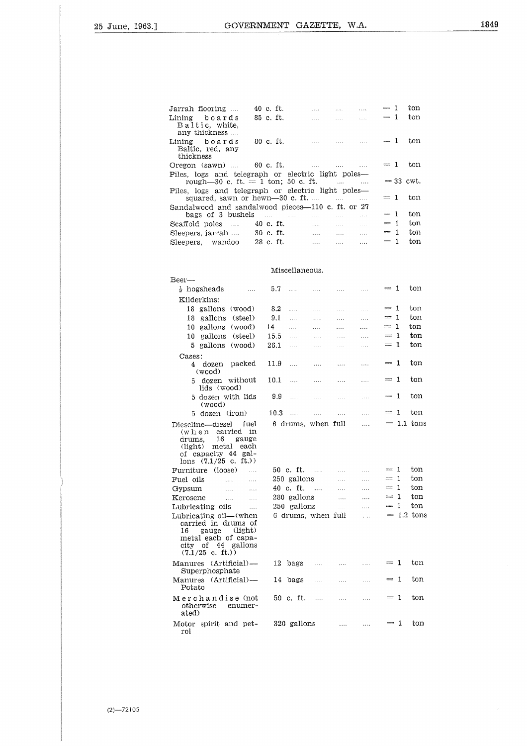$\hat{\vec{r}}$ 

|                                                                                            | GOVERNMENT GAZETTE, W.A. |                                   |                                                                                                                                                                                                                                                               |             |     |
|--------------------------------------------------------------------------------------------|--------------------------|-----------------------------------|---------------------------------------------------------------------------------------------------------------------------------------------------------------------------------------------------------------------------------------------------------------|-------------|-----|
|                                                                                            |                          |                                   |                                                                                                                                                                                                                                                               |             |     |
|                                                                                            |                          |                                   |                                                                                                                                                                                                                                                               |             |     |
|                                                                                            |                          |                                   |                                                                                                                                                                                                                                                               |             |     |
|                                                                                            |                          |                                   |                                                                                                                                                                                                                                                               |             |     |
|                                                                                            |                          |                                   |                                                                                                                                                                                                                                                               |             |     |
|                                                                                            |                          |                                   |                                                                                                                                                                                                                                                               |             |     |
| Jarrah flooring                                                                            | 40 c. ft.                |                                   | $\frac{1}{2}$ . The contract of $\frac{1}{2}$ is the contract of $\frac{1}{2}$ . The contract of $\frac{1}{2}$ is the contract of $\frac{1}{2}$ is the contract of $\frac{1}{2}$ is the contract of $\frac{1}{2}$ is the contract of $\frac{1}{2}$ is the con | $= 1$       | ton |
| Lining boards                                                                              | 85 c. ft.                |                                   | $\ldots$ . $\ldots$ . $\ldots$                                                                                                                                                                                                                                | $= 1$       | ton |
| Baltic, white,<br>any thickness                                                            |                          |                                   |                                                                                                                                                                                                                                                               |             |     |
| Lining boards                                                                              | 80 c. ft.                | $\ddotsc$                         |                                                                                                                                                                                                                                                               | $= 1$       | ton |
| Baltic, red, any<br>thickness                                                              |                          |                                   |                                                                                                                                                                                                                                                               |             |     |
| Oregon (sawn)  60 c. ft.                                                                   |                          |                                   | and the state of the state                                                                                                                                                                                                                                    | $= 1$       | ton |
| Piles, logs and telegraph or electric light poles—<br>rough-30 c. ft. $= 1$ ton; 50 c. ft. |                          |                                   |                                                                                                                                                                                                                                                               | $=$ 33 cwt. |     |
| Piles, logs and telegraph or electric light poles—                                         |                          |                                   |                                                                                                                                                                                                                                                               |             |     |
| squared, sawn or hewn— $30$ c. ft.                                                         |                          |                                   |                                                                                                                                                                                                                                                               | $= 1$       | ton |
| Sandalwood and sandalwood pieces-110 c. ft. or 27                                          |                          |                                   |                                                                                                                                                                                                                                                               |             |     |
| bags of 3 bushels $\dots$ $\dots$ $\dots$                                                  |                          |                                   | .                                                                                                                                                                                                                                                             | $= 1$       | ton |
| Scaffold poles  40 c. ft.                                                                  |                          | <b>Contract Contract Contract</b> | <b>Sales Committee</b><br>$\sim$                                                                                                                                                                                                                              | $= 1$       | ton |
| Sleepers, jarrah                                                                           | 30 c. ft. $\cdots$       |                                   | and the state<br>$\cdots$                                                                                                                                                                                                                                     | $= 1$       | ton |
| Sleepers, wandoo                                                                           | $28$ c. ft.              |                                   | $\mathbf{r}$                                                                                                                                                                                                                                                  | $= 1$       | ton |
|                                                                                            |                          |                                   |                                                                                                                                                                                                                                                               |             |     |
|                                                                                            |                          |                                   |                                                                                                                                                                                                                                                               |             |     |

Miscellaneous.

| Beer—                                                                                                                                     |      |             |                    |          |          |                         |              |                   |
|-------------------------------------------------------------------------------------------------------------------------------------------|------|-------------|--------------------|----------|----------|-------------------------|--------------|-------------------|
| $\frac{1}{2}$ hogsheads<br>$\cdots$                                                                                                       | 5.7  | $\ddotsc$   | $\cdots$           | $\cdots$ | $\cdots$ | $= 1$                   |              | ton               |
| Kilderkins:                                                                                                                               |      |             |                    |          |          |                         |              |                   |
| 18 gallons<br>(wood)                                                                                                                      | 8.2  | $\cdots$    | .                  | .        | $\cdots$ | $= 1$                   |              | ton               |
| (steel)<br>gallons<br>18                                                                                                                  | 9.1  | $\cdots$    | .                  | $\cdots$ | $\cdots$ | $= 1$                   |              | ton               |
| 10 gallons<br>(wood)                                                                                                                      | 14   | .           | .                  | .        | .        | $= 1$                   |              | ton               |
| 10 gallons<br>(steel)                                                                                                                     | 15.5 | .           | .                  | $\cdots$ | $\sim$   | $= 1$                   |              | $_{\rm ton}$      |
| 5 gallons<br>(wood)                                                                                                                       | 26.1 | .           | $\cdots$           | $\cdots$ | $\cdots$ | $= 1$                   |              | $_{\rm ton}$      |
| Cases:                                                                                                                                    |      |             |                    |          |          |                         |              |                   |
| packed<br>4 dozen<br>(wood)                                                                                                               | 11.9 | $\cdots$    | .                  | .        | $\cdots$ | $=1$                    |              | ton               |
| 5 dozen without<br>lids (wood)                                                                                                            | 10.1 | $\cdots$    |                    | $\cdots$ | .        | $= 1$                   |              | ton               |
| 5 dozen with lids<br>(wood)                                                                                                               | 9.9  | .           | $\cdots$           | 1.11     | .        | $= 1$                   |              | ton               |
| 5 dozen (iron)                                                                                                                            | 10.3 | $\cdots$    | $\cdots$           | $\cdots$ | .        | $\frac{1}{2}$           | 1            | ton               |
| Dieseline-diesel<br>fuel                                                                                                                  |      |             | 6 drums, when full |          | .        |                         |              | $\,=\,1.1\,$ tons |
| (when carried<br>in<br>16<br>gauge<br>drums.<br>metal<br>each<br>(light)<br>of capacity 44 gal-<br>$lons$ $(7.1/25$ c. ft.))              |      |             |                    |          |          |                         |              |                   |
| Furniture (loose)<br>$\cdots$                                                                                                             |      | 50 c. ft.   | $\sim$             | $\cdots$ | $\cdots$ | $\qquad \qquad =\qquad$ | -1           | ton               |
| Fuel oils<br>$\cdots$<br>.                                                                                                                |      | 250 gallons |                    | .        | .        | <b>CONTROL</b>          | $\mathbf{1}$ | ton               |
| Gypsum<br>.<br>.                                                                                                                          |      | 40 c. ft.   | $\sim$             | $\cdots$ | .        | $=1$                    |              | ton               |
| Kerosene<br>.<br>$\cdots$                                                                                                                 |      | 280 gallons |                    | $\cdots$ | 1111     | $= 1$                   |              | ton               |
| Lubricating oils<br>$\cdots$                                                                                                              |      | 250 gallons |                    | $\cdots$ | $\cdots$ | $= 1$                   |              | ton               |
| Lubricating oil—(when<br>carried in drums of<br>(light)<br>16<br>gauge<br>metal each of capa-<br>city of 44 gallons<br>$(7.1/25$ c. ft.)) |      |             | 6 drums, when full |          | .        |                         |              | $= 1.2$ tons      |
| Manures (Artificial)-<br>Superphosphate                                                                                                   | 12   | bags        | .                  | .        |          | $=$                     | -1           | ton               |
| $(Artificial)$ —<br>Manures<br>Potato                                                                                                     | 14   | bags        | .                  | .        | .        | $\sim$                  | $\mathbf{1}$ | ton               |
| Merchandise (not<br>otherwise<br>enumer-<br>ated)                                                                                         |      | 50 c. ft.   | $\cdots$           |          |          | $= 1$                   |              | ton               |
| Motor spirit and pet-<br>rol                                                                                                              |      | 320 gallons |                    | .        | .        | $\frac{1}{2}$           | -1           | ton               |